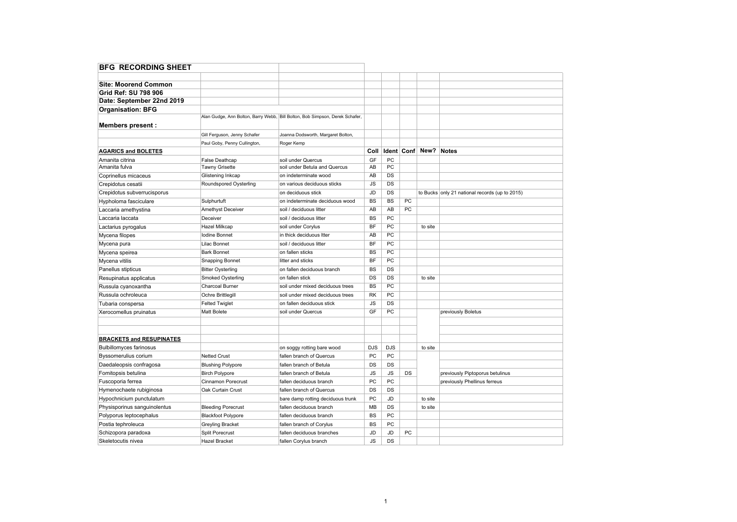| <b>BFG RECORDING SHEET</b>      |                              |                                                                              |            |            |    |                     |                                                |
|---------------------------------|------------------------------|------------------------------------------------------------------------------|------------|------------|----|---------------------|------------------------------------------------|
|                                 |                              |                                                                              |            |            |    |                     |                                                |
| <b>Site: Moorend Common</b>     |                              |                                                                              |            |            |    |                     |                                                |
| Grid Ref: SU 798 906            |                              |                                                                              |            |            |    |                     |                                                |
| Date: September 22nd 2019       |                              |                                                                              |            |            |    |                     |                                                |
| <b>Organisation: BFG</b>        |                              |                                                                              |            |            |    |                     |                                                |
|                                 |                              | Alan Gudge, Ann Bolton, Barry Webb, Bill Bolton, Bob Simpson, Derek Schafer, |            |            |    |                     |                                                |
| <b>Members present:</b>         |                              |                                                                              |            |            |    |                     |                                                |
|                                 | Gill Ferguson, Jenny Schafer | Joanna Dodsworth, Margaret Bolton,                                           |            |            |    |                     |                                                |
|                                 | Paul Goby, Penny Cullington, | Roger Kemp                                                                   |            |            |    |                     |                                                |
| <b>AGARICS and BOLETES</b>      |                              |                                                                              | Coll       |            |    | Ident   Conf   New? | Notes                                          |
| Amanita citrina                 | False Deathcap               | soil under Quercus                                                           | GF         | PC         |    |                     |                                                |
| Amanita fulva                   | Tawny Grisette               | soil under Betula and Quercus                                                | AB         | PC         |    |                     |                                                |
| Coprinellus micaceus            | Glistening Inkcap            | on indeterminate wood                                                        | AB         | <b>DS</b>  |    |                     |                                                |
| Crepidotus cesatii              | Roundspored Oysterling       | on various deciduous sticks                                                  | <b>JS</b>  | DS         |    |                     |                                                |
| Crepidotus subverrucisporus     |                              | on deciduous stick                                                           | <b>JD</b>  | <b>DS</b>  |    |                     | to Bucks only 21 national records (up to 2015) |
| Hypholoma fasciculare           | Sulphurtuft                  | on indeterminate deciduous wood                                              | <b>BS</b>  | <b>BS</b>  | PC |                     |                                                |
| Laccaria amethystina            | Amethyst Deceiver            | soil / deciduous litter                                                      | AB         | AB         | PC |                     |                                                |
| Laccaria laccata                | Deceiver                     | soil / deciduous litter                                                      | <b>BS</b>  | PC         |    |                     |                                                |
| Lactarius pyrogalus             | Hazel Milkcap                | soil under Corylus                                                           | BF         | PC         |    | to site             |                                                |
| Mycena filopes                  | <b>Iodine Bonnet</b>         | in thick deciduous Itter                                                     | AB         | PC         |    |                     |                                                |
| Mycena pura                     | Lilac Bonnet                 | soil / deciduous litter                                                      | <b>BF</b>  | PC         |    |                     |                                                |
| Mycena speirea                  | <b>Bark Bonnet</b>           | on fallen sticks                                                             | <b>BS</b>  | PC         |    |                     |                                                |
| Mycena vitilis                  | <b>Snapping Bonnet</b>       | litter and sticks                                                            | BF         | PC         |    |                     |                                                |
| Panellus stipticus              | <b>Bitter Oysterling</b>     | on fallen deciduous branch                                                   | <b>BS</b>  | DS         |    |                     |                                                |
| Resupinatus applicatus          | Smoked Oysterling            | on fallen stick                                                              | DS         | <b>DS</b>  |    | to site             |                                                |
| Russula cyanoxantha             | Charcoal Burner              | soil under mixed deciduous trees                                             | <b>BS</b>  | PC         |    |                     |                                                |
| Russula ochroleuca              | Ochre Brittlegill            | soil under mixed deciduous trees                                             | <b>RK</b>  | PC         |    |                     |                                                |
| Tubaria conspersa               | <b>Felted Twiglet</b>        | on fallen deciduous stick                                                    | JS         | DS         |    |                     |                                                |
| Xerocomellus pruinatus          | <b>Matt Bolete</b>           | soil under Quercus                                                           | GF         | PC         |    |                     | previously Boletus                             |
|                                 |                              |                                                                              |            |            |    |                     |                                                |
|                                 |                              |                                                                              |            |            |    |                     |                                                |
| <b>BRACKETS and RESUPINATES</b> |                              |                                                                              |            |            |    |                     |                                                |
| <b>Bulbillomyces farinosus</b>  |                              | on soggy rotting bare wood                                                   | <b>DJS</b> | <b>DJS</b> |    | to site             |                                                |
| Byssomerulius corium            | <b>Netted Crust</b>          | fallen branch of Quercus                                                     | PC         | PC         |    |                     |                                                |
| Daedaleopsis confragosa         | <b>Blushing Polypore</b>     | fallen branch of Betula                                                      | DS         | DS         |    |                     |                                                |
| Fomitopsis betulina             | <b>Birch Polypore</b>        | fallen branch of Betula                                                      | <b>JS</b>  | <b>JS</b>  | DS |                     | previously Piptoporus betulinus                |
| Fuscoporia ferrea               | Cinnamon Porecrust           | fallen deciduous branch                                                      | PC         | PC         |    |                     | previously Phellinus ferreus                   |
| Hymenochaete rubiginosa         | Oak Curtain Crust            | fallen branch of Quercus                                                     | DS         | DS         |    |                     |                                                |
| Hypochnicium punctulatum        |                              | bare damp rotting deciduous trunk                                            | PC         | <b>JD</b>  |    | to site             |                                                |
| Physisporinus sanguinolentus    | <b>Bleeding Porecrust</b>    | fallen deciduous branch                                                      | MB         | DS         |    | to site             |                                                |
| Polyporus leptocephalus         | <b>Blackfoot Polypore</b>    | fallen deciduous branch                                                      | BS         | PC         |    |                     |                                                |
| Postia tephroleuca              | <b>Greyling Bracket</b>      | fallen branch of Corylus                                                     | <b>BS</b>  | PC         |    |                     |                                                |
| Schizopora paradoxa             | <b>Split Porecrust</b>       | fallen deciduous branches                                                    | JD         | <b>JD</b>  | PC |                     |                                                |
| Skeletocutis nivea              | <b>Hazel Bracket</b>         | fallen Corylus branch                                                        | <b>JS</b>  | DS         |    |                     |                                                |